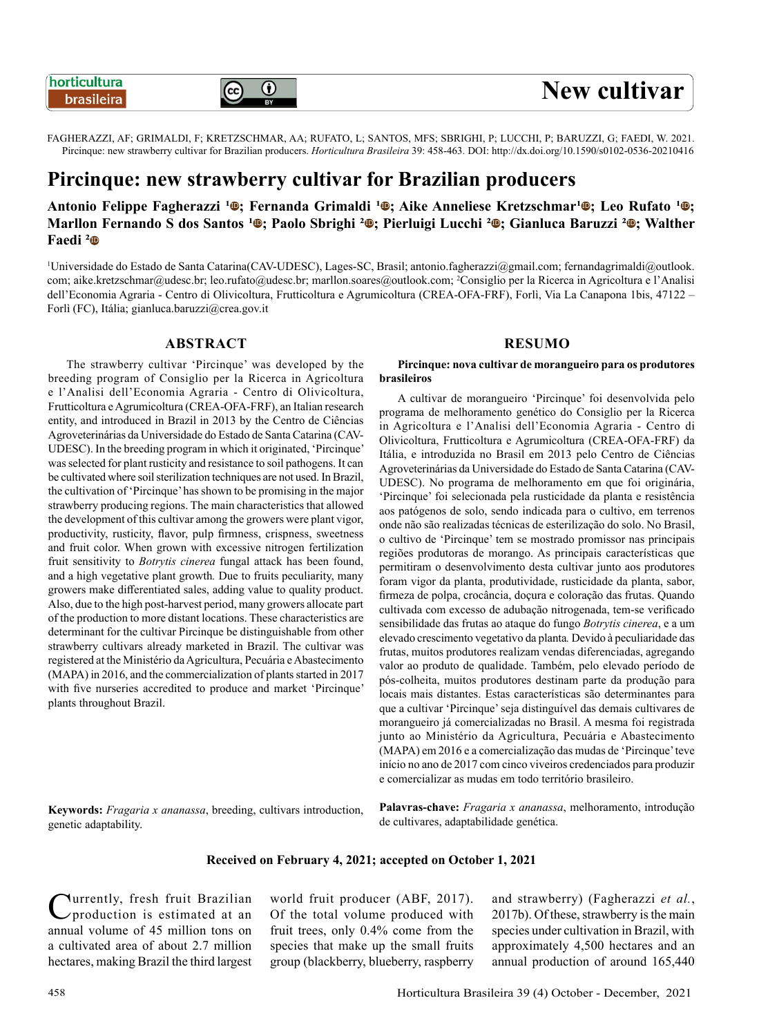# $_{\odot}$

FAGHERAZZI, AF; GRIMALDI, F; KRETZSCHMAR, AA; RUFATO, L; SANTOS, MFS; SBRIGHI, P; LUCCHI, P; BARUZZI, G; FAEDI, W. 2021. Pircinque: new strawberry cultivar for Brazilian producers. *Horticultura Brasileira* 39: 458-463. DOI: http://dx.doi.org/10.1590/s0102-0536-20210416

## **Pircinque: new strawberry cultivar for Brazilian producers**

Antonio Felippe Fagherazzi <sup>1</sup><sup>®</sup>; Fernanda Grimaldi <sup>1</sup><sup>®</sup>; Aike Anneliese Kretzschmar<sup>1</sup><sup>®</sup>; Leo Rufato <sup>1</sup><sup>®</sup>; **Marllon Fernando S dos Santos <sup>1</sup>©; Paolo Sbrighi <sup>2</sup>©; Pierluigi Lucchi <sup>2</sup>©; Gianluca Baruzzi <sup>2</sup>©; Walther Faedi**  $^{2}$ 

1 Universidade do Estado de Santa Catarina(CAV-UDESC), Lages-SC, Brasil; antonio.fagherazzi@gmail.com; fernandagrimaldi@outlook. com; aike.kretzschmar@udesc.br; leo.rufato@udesc.br; marllon.soares@outlook.com; <sup>2</sup> Consiglio per la Ricerca in Agricoltura e l'Analisi dell'Economia Agraria - Centro di Olivicoltura, Frutticoltura e Agrumicoltura (CREA-OFA-FRF), Forlì, Via La Canapona 1bis, 47122 – Forlì (FC), Itália; gianluca.baruzzi@crea.gov.it

#### **ABSTRACT**

The strawberry cultivar 'Pircinque' was developed by the breeding program of Consiglio per la Ricerca in Agricoltura e l'Analisi dell'Economia Agraria - Centro di Olivicoltura, Frutticoltura e Agrumicoltura (CREA-OFA-FRF), an Italian research entity, and introduced in Brazil in 2013 by the Centro de Ciências Agroveterinárias da Universidade do Estado de Santa Catarina (CAV-UDESC). In the breeding program in which it originated, 'Pircinque' was selected for plant rusticity and resistance to soil pathogens. It can be cultivated where soil sterilization techniques are not used. In Brazil, the cultivation of 'Pircinque' has shown to be promising in the major strawberry producing regions. The main characteristics that allowed the development of this cultivar among the growers were plant vigor, productivity, rusticity, flavor, pulp firmness, crispness, sweetness and fruit color. When grown with excessive nitrogen fertilization fruit sensitivity to *Botrytis cinerea* fungal attack has been found, and a high vegetative plant growth*.* Due to fruits peculiarity, many growers make differentiated sales, adding value to quality product. Also, due to the high post-harvest period, many growers allocate part of the production to more distant locations. These characteristics are determinant for the cultivar Pircinque be distinguishable from other strawberry cultivars already marketed in Brazil. The cultivar was registered at the Ministério da Agricultura, Pecuária e Abastecimento (MAPA) in 2016, and the commercialization of plants started in 2017 with five nurseries accredited to produce and market 'Pircinque' plants throughout Brazil.

**Keywords:** *Fragaria x ananassa*, breeding, cultivars introduction, genetic adaptability.

## **RESUMO**

**Pircinque: nova cultivar de morangueiro para os produtores brasileiros**

A cultivar de morangueiro 'Pircinque' foi desenvolvida pelo programa de melhoramento genético do Consiglio per la Ricerca in Agricoltura e l'Analisi dell'Economia Agraria - Centro di Olivicoltura, Frutticoltura e Agrumicoltura (CREA-OFA-FRF) da Itália, e introduzida no Brasil em 2013 pelo Centro de Ciências Agroveterinárias da Universidade do Estado de Santa Catarina (CAV-UDESC). No programa de melhoramento em que foi originária, 'Pircinque' foi selecionada pela rusticidade da planta e resistência aos patógenos de solo, sendo indicada para o cultivo, em terrenos onde não são realizadas técnicas de esterilização do solo. No Brasil, o cultivo de 'Pircinque' tem se mostrado promissor nas principais regiões produtoras de morango. As principais características que permitiram o desenvolvimento desta cultivar junto aos produtores foram vigor da planta, produtividade, rusticidade da planta, sabor, firmeza de polpa, crocância, doçura e coloração das frutas. Quando cultivada com excesso de adubação nitrogenada, tem-se verificado sensibilidade das frutas ao ataque do fungo *Botrytis cinerea*, e a um elevado crescimento vegetativo da planta*.* Devido à peculiaridade das frutas, muitos produtores realizam vendas diferenciadas, agregando valor ao produto de qualidade. Também, pelo elevado período de pós-colheita, muitos produtores destinam parte da produção para locais mais distantes. Estas características são determinantes para que a cultivar 'Pircinque' seja distinguível das demais cultivares de morangueiro já comercializadas no Brasil. A mesma foi registrada junto ao Ministério da Agricultura, Pecuária e Abastecimento (MAPA) em 2016 e a comercialização das mudas de 'Pircinque' teve início no ano de 2017 com cinco viveiros credenciados para produzir e comercializar as mudas em todo território brasileiro.

**Palavras-chave:** *Fragaria x ananassa*, melhoramento, introdução de cultivares, adaptabilidade genética.

#### **Received on February 4, 2021; accepted on October 1, 2021**

Currently, fresh fruit Brazilian<br>
production is estimated at an annual volume of 45 million tons on a cultivated area of about 2.7 million hectares, making Brazil the third largest

world fruit producer (ABF, 2017). Of the total volume produced with fruit trees, only 0.4% come from the species that make up the small fruits group (blackberry, blueberry, raspberry and strawberry) (Fagherazzi *et al.*, 2017b). Of these, strawberry is the main species under cultivation in Brazil, with approximately 4,500 hectares and an annual production of around 165,440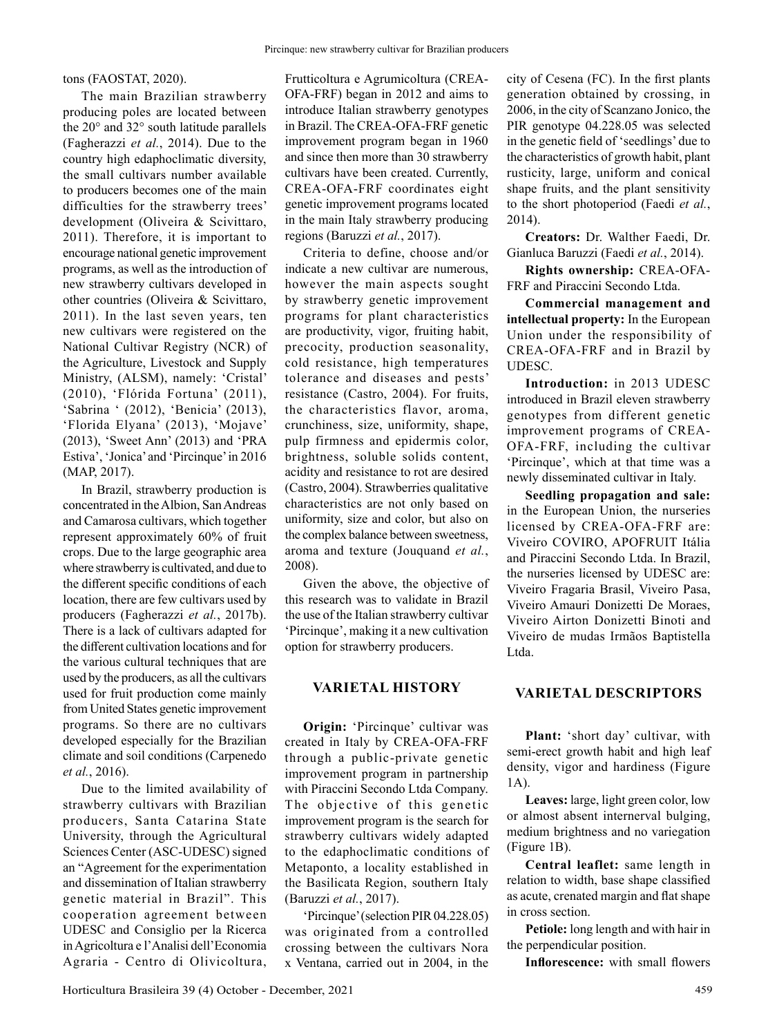The main Brazilian strawberry producing poles are located between the 20° and 32° south latitude parallels (Fagherazzi *et al.*, 2014). Due to the country high edaphoclimatic diversity, the small cultivars number available to producers becomes one of the main difficulties for the strawberry trees' development (Oliveira & Scivittaro, 2011). Therefore, it is important to encourage national genetic improvement programs, as well as the introduction of new strawberry cultivars developed in other countries (Oliveira & Scivittaro, 2011). In the last seven years, ten new cultivars were registered on the National Cultivar Registry (NCR) of the Agriculture, Livestock and Supply Ministry, (ALSM), namely: 'Cristal' (2010), 'Flórida Fortuna' (2011), 'Sabrina ' (2012), 'Benicia' (2013), 'Florida Elyana' (2013), 'Mojave' (2013), 'Sweet Ann' (2013) and 'PRA Estiva', 'Jonica' and 'Pircinque' in 2016 (MAP, 2017).

In Brazil, strawberry production is concentrated in the Albion, San Andreas and Camarosa cultivars, which together represent approximately 60% of fruit crops. Due to the large geographic area where strawberry is cultivated, and due to the different specific conditions of each location, there are few cultivars used by producers (Fagherazzi *et al.*, 2017b). There is a lack of cultivars adapted for the different cultivation locations and for the various cultural techniques that are used by the producers, as all the cultivars used for fruit production come mainly from United States genetic improvement programs. So there are no cultivars developed especially for the Brazilian climate and soil conditions (Carpenedo *et al.*, 2016).

Due to the limited availability of strawberry cultivars with Brazilian producers, Santa Catarina State University, through the Agricultural Sciences Center (ASC-UDESC) signed an "Agreement for the experimentation and dissemination of Italian strawberry genetic material in Brazil". This cooperation agreement between UDESC and Consiglio per la Ricerca in Agricoltura e l'Analisi dell'Economia Agraria - Centro di Olivicoltura,

Frutticoltura e Agrumicoltura (CREA-OFA-FRF) began in 2012 and aims to introduce Italian strawberry genotypes in Brazil. The CREA-OFA-FRF genetic improvement program began in 1960 and since then more than 30 strawberry cultivars have been created. Currently, CREA-OFA-FRF coordinates eight genetic improvement programs located in the main Italy strawberry producing regions (Baruzzi *et al.*, 2017).

Criteria to define, choose and/or indicate a new cultivar are numerous, however the main aspects sought by strawberry genetic improvement programs for plant characteristics are productivity, vigor, fruiting habit, precocity, production seasonality, cold resistance, high temperatures tolerance and diseases and pests' resistance (Castro, 2004). For fruits, the characteristics flavor, aroma, crunchiness, size, uniformity, shape, pulp firmness and epidermis color, brightness, soluble solids content, acidity and resistance to rot are desired (Castro, 2004). Strawberries qualitative characteristics are not only based on uniformity, size and color, but also on the complex balance between sweetness, aroma and texture (Jouquand *et al.*, 2008).

Given the above, the objective of this research was to validate in Brazil the use of the Italian strawberry cultivar 'Pircinque', making it a new cultivation option for strawberry producers.

#### **VARIETAL HISTORY**

**Origin:** 'Pircinque' cultivar was created in Italy by CREA-OFA-FRF through a public-private genetic improvement program in partnership with Piraccini Secondo Ltda Company. The objective of this genetic improvement program is the search for strawberry cultivars widely adapted to the edaphoclimatic conditions of Metaponto, a locality established in the Basilicata Region, southern Italy (Baruzzi *et al.*, 2017).

'Pircinque' (selection PIR 04.228.05) was originated from a controlled crossing between the cultivars Nora x Ventana, carried out in 2004, in the

city of Cesena (FC). In the first plants generation obtained by crossing, in 2006, in the city of Scanzano Jonico, the PIR genotype 04.228.05 was selected in the genetic field of 'seedlings' due to the characteristics of growth habit, plant rusticity, large, uniform and conical shape fruits, and the plant sensitivity to the short photoperiod (Faedi *et al.*, 2014).

**Creators:** Dr. Walther Faedi, Dr. Gianluca Baruzzi (Faedi *et al.*, 2014).

**Rights ownership:** CREA-OFA-FRF and Piraccini Secondo Ltda.

**Commercial management and intellectual property:** In the European Union under the responsibility of CREA-OFA-FRF and in Brazil by UDESC.

**Introduction:** in 2013 UDESC introduced in Brazil eleven strawberry genotypes from different genetic improvement programs of CREA-OFA-FRF, including the cultivar 'Pircinque', which at that time was a newly disseminated cultivar in Italy.

**Seedling propagation and sale:**  in the European Union, the nurseries licensed by CREA-OFA-FRF are: Viveiro COVIRO, APOFRUIT Itália and Piraccini Secondo Ltda. In Brazil, the nurseries licensed by UDESC are: Viveiro Fragaria Brasil, Viveiro Pasa, Viveiro Amauri Donizetti De Moraes, Viveiro Airton Donizetti Binoti and Viveiro de mudas Irmãos Baptistella Ltda.

#### **VARIETAL DESCRIPTORS**

**Plant:** 'short day' cultivar, with semi-erect growth habit and high leaf density, vigor and hardiness (Figure 1A).

**Leaves:** large, light green color, low or almost absent internerval bulging, medium brightness and no variegation (Figure 1B).

**Central leaflet:** same length in relation to width, base shape classified as acute, crenated margin and flat shape in cross section.

**Petiole:** long length and with hair in the perpendicular position.

**Inflorescence:** with small flowers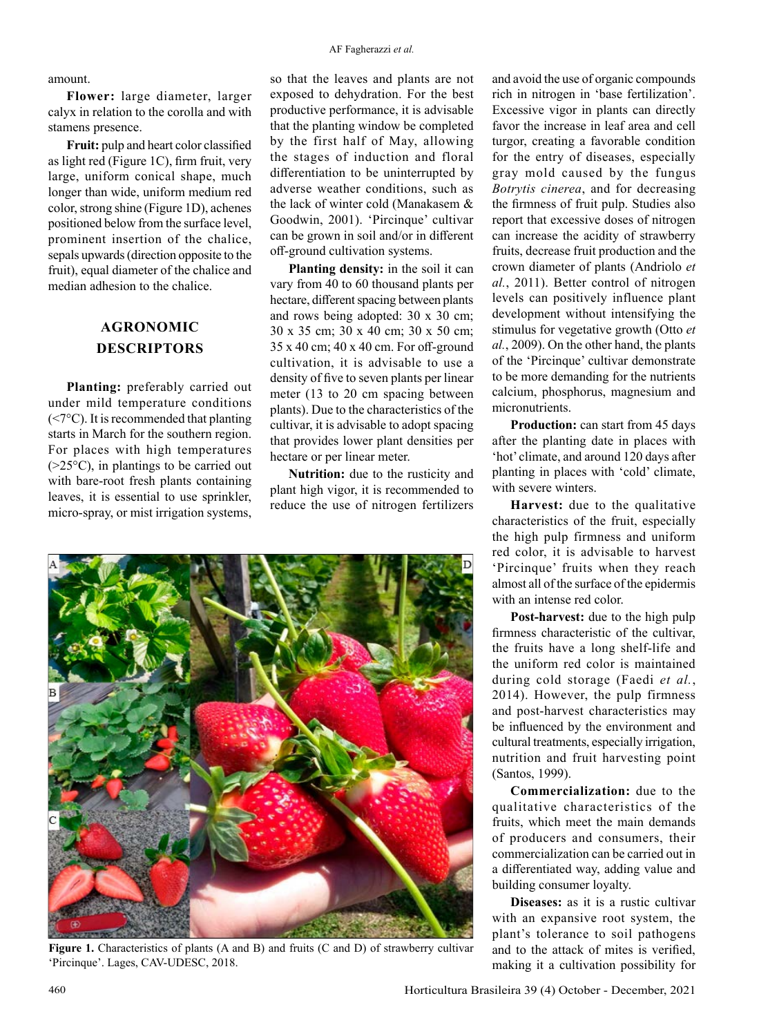amount.

**Flower:** large diameter, larger calyx in relation to the corolla and with stamens presence.

**Fruit:** pulp and heart color classified as light red (Figure 1C), firm fruit, very large, uniform conical shape, much longer than wide, uniform medium red color, strong shine (Figure 1D), achenes positioned below from the surface level, prominent insertion of the chalice, sepals upwards (direction opposite to the fruit), equal diameter of the chalice and median adhesion to the chalice.

### **AGRONOMIC DESCRIPTORS**

**Planting:** preferably carried out under mild temperature conditions (<7°C). It is recommended that planting starts in March for the southern region. For places with high temperatures  $(>=25°C)$ , in plantings to be carried out with bare-root fresh plants containing leaves, it is essential to use sprinkler, micro-spray, or mist irrigation systems,

so that the leaves and plants are not exposed to dehydration. For the best productive performance, it is advisable that the planting window be completed by the first half of May, allowing the stages of induction and floral differentiation to be uninterrupted by adverse weather conditions, such as the lack of winter cold (Manakasem & Goodwin, 2001). 'Pircinque' cultivar can be grown in soil and/or in different off-ground cultivation systems.

**Planting density:** in the soil it can vary from 40 to 60 thousand plants per hectare, different spacing between plants and rows being adopted: 30 x 30 cm; 30 x 35 cm; 30 x 40 cm; 30 x 50 cm; 35 x 40 cm; 40 x 40 cm. For off-ground cultivation, it is advisable to use a density of five to seven plants per linear meter (13 to 20 cm spacing between plants). Due to the characteristics of the cultivar, it is advisable to adopt spacing that provides lower plant densities per hectare or per linear meter.

**Nutrition:** due to the rusticity and plant high vigor, it is recommended to reduce the use of nitrogen fertilizers



Figure 1. Characteristics of plants (A and B) and fruits (C and D) of strawberry cultivar 'Pircinque'. Lages, CAV-UDESC, 2018.

and avoid the use of organic compounds rich in nitrogen in 'base fertilization'. Excessive vigor in plants can directly favor the increase in leaf area and cell turgor, creating a favorable condition for the entry of diseases, especially gray mold caused by the fungus *Botrytis cinerea*, and for decreasing the firmness of fruit pulp. Studies also report that excessive doses of nitrogen can increase the acidity of strawberry fruits, decrease fruit production and the crown diameter of plants (Andriolo *et al.*, 2011). Better control of nitrogen levels can positively influence plant development without intensifying the stimulus for vegetative growth (Otto *et al.*, 2009). On the other hand, the plants of the 'Pircinque' cultivar demonstrate to be more demanding for the nutrients calcium, phosphorus, magnesium and micronutrients.

**Production:** can start from 45 days after the planting date in places with 'hot' climate, and around 120 days after planting in places with 'cold' climate, with severe winters.

**Harvest:** due to the qualitative characteristics of the fruit, especially the high pulp firmness and uniform red color, it is advisable to harvest 'Pircinque' fruits when they reach almost all of the surface of the epidermis with an intense red color.

**Post-harvest:** due to the high pulp firmness characteristic of the cultivar, the fruits have a long shelf-life and the uniform red color is maintained during cold storage (Faedi *et al.*, 2014). However, the pulp firmness and post-harvest characteristics may be influenced by the environment and cultural treatments, especially irrigation, nutrition and fruit harvesting point (Santos, 1999).

**Commercialization:** due to the qualitative characteristics of the fruits, which meet the main demands of producers and consumers, their commercialization can be carried out in a differentiated way, adding value and building consumer loyalty.

**Diseases:** as it is a rustic cultivar with an expansive root system, the plant's tolerance to soil pathogens and to the attack of mites is verified, making it a cultivation possibility for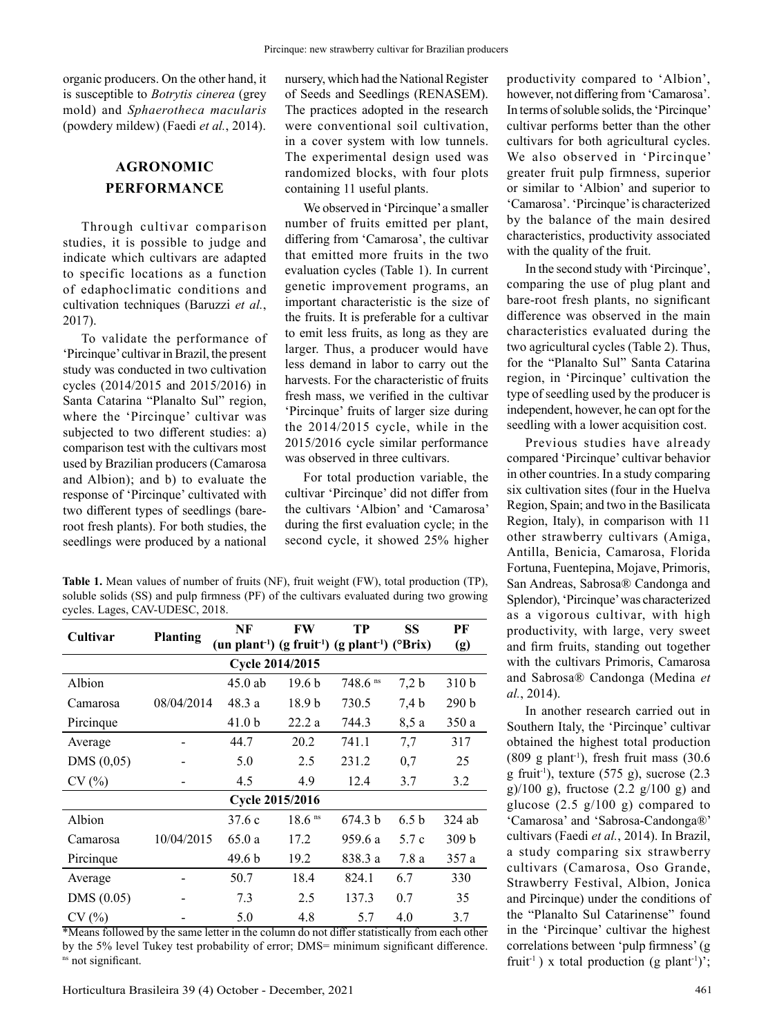organic producers. On the other hand, it is susceptible to *Botrytis cinerea* (grey mold) and *Sphaerotheca macularis* (powdery mildew) (Faedi *et al.*, 2014).

## **AGRONOMIC PERFORMANCE**

Through cultivar comparison studies, it is possible to judge and indicate which cultivars are adapted to specific locations as a function of edaphoclimatic conditions and cultivation techniques (Baruzzi *et al.*, 2017).

To validate the performance of 'Pircinque' cultivar in Brazil, the present study was conducted in two cultivation cycles (2014/2015 and 2015/2016) in Santa Catarina "Planalto Sul" region, where the 'Pircinque' cultivar was subjected to two different studies: a) comparison test with the cultivars most used by Brazilian producers (Camarosa and Albion); and b) to evaluate the response of 'Pircinque' cultivated with two different types of seedlings (bareroot fresh plants). For both studies, the seedlings were produced by a national nursery, which had the National Register of Seeds and Seedlings (RENASEM). The practices adopted in the research were conventional soil cultivation, in a cover system with low tunnels. The experimental design used was randomized blocks, with four plots containing 11 useful plants.

We observed in 'Pircinque' a smaller number of fruits emitted per plant, differing from 'Camarosa', the cultivar that emitted more fruits in the two evaluation cycles (Table 1). In current genetic improvement programs, an important characteristic is the size of the fruits. It is preferable for a cultivar to emit less fruits, as long as they are larger. Thus, a producer would have less demand in labor to carry out the harvests. For the characteristic of fruits fresh mass, we verified in the cultivar 'Pircinque' fruits of larger size during the 2014/2015 cycle, while in the 2015/2016 cycle similar performance was observed in three cultivars.

For total production variable, the cultivar 'Pircinque' did not differ from the cultivars 'Albion' and 'Camarosa' during the first evaluation cycle; in the second cycle, it showed 25% higher

**Table 1.** Mean values of number of fruits (NF), fruit weight (FW), total production (TP), soluble solids (SS) and pulp firmness (PF) of the cultivars evaluated during two growing cycles. Lages, CAV-UDESC, 2018.

| Cultivar               |                 | NF                | FW                   | TP                                                                                               | SS               | PF               |  |  |  |  |
|------------------------|-----------------|-------------------|----------------------|--------------------------------------------------------------------------------------------------|------------------|------------------|--|--|--|--|
|                        | <b>Planting</b> |                   |                      | (un plant <sup>-1</sup> ) (g fruit <sup>-1</sup> ) (g plant <sup>-1</sup> ) ( <sup>o</sup> Brix) |                  | (g)              |  |  |  |  |
| Cycle 2014/2015        |                 |                   |                      |                                                                                                  |                  |                  |  |  |  |  |
| Albion                 |                 | $45.0$ ab         | 19.6 <sub>b</sub>    | $748.6$ <sup>ns</sup>                                                                            | 7,2 b            | 310 <sub>b</sub> |  |  |  |  |
| Camarosa               | 08/04/2014      | 48.3a             | 18.9 <sub>b</sub>    | 730.5                                                                                            | 7,4 b            | 290 b            |  |  |  |  |
| Pircinque              |                 | 41.0 <sub>b</sub> | 22.2a                | 744.3                                                                                            | 8,5 a            | 350a             |  |  |  |  |
| Average                |                 | 44.7              | 20.2                 | 741.1                                                                                            | 7,7              | 317              |  |  |  |  |
| DMS (0,05)             |                 | 5.0               | 2.5                  | 231.2                                                                                            | 0,7              | 25               |  |  |  |  |
| CV(%)                  |                 | 4.5               | 4.9                  | 12.4                                                                                             | 3.7              | 3.2              |  |  |  |  |
| <b>Cycle 2015/2016</b> |                 |                   |                      |                                                                                                  |                  |                  |  |  |  |  |
| Albion                 |                 | 37.6c             | $18.6$ <sup>ns</sup> | 674.3 b                                                                                          | 6.5 <sub>b</sub> | 324 ab           |  |  |  |  |
| Camarosa               | 10/04/2015      | 65.0a             | 17.2                 | 959.6 a                                                                                          | 5.7c             | 309 <sub>b</sub> |  |  |  |  |
| Pircinque              |                 | 49.6 b            | 19.2                 | 838.3 a                                                                                          | 7.8a             | 357 a            |  |  |  |  |
| Average                |                 | 50.7              | 18.4                 | 824.1                                                                                            | 6.7              | 330              |  |  |  |  |
| DMS(0.05)              |                 | 7.3               | 2.5                  | 137.3                                                                                            | 0.7              | 35               |  |  |  |  |
| CV(%)                  |                 | 5.0               | 4.8                  | 5.7                                                                                              | 4.0              | 3.7              |  |  |  |  |

\*Means followed by the same letter in the column do not differ statistically from each other by the 5% level Tukey test probability of error; DMS= minimum significant difference. <sup>ns</sup> not significant.

productivity compared to 'Albion', however, not differing from 'Camarosa'. In terms of soluble solids, the 'Pircinque' cultivar performs better than the other cultivars for both agricultural cycles. We also observed in 'Pircinque' greater fruit pulp firmness, superior or similar to 'Albion' and superior to 'Camarosa'. 'Pircinque' is characterized by the balance of the main desired characteristics, productivity associated with the quality of the fruit.

In the second study with 'Pircinque', comparing the use of plug plant and bare-root fresh plants, no significant difference was observed in the main characteristics evaluated during the two agricultural cycles (Table 2). Thus, for the "Planalto Sul" Santa Catarina region, in 'Pircinque' cultivation the type of seedling used by the producer is independent, however, he can opt for the seedling with a lower acquisition cost.

Previous studies have already compared 'Pircinque' cultivar behavior in other countries. In a study comparing six cultivation sites (four in the Huelva Region, Spain; and two in the Basilicata Region, Italy), in comparison with 11 other strawberry cultivars (Amiga, Antilla, Benicia, Camarosa, Florida Fortuna, Fuentepina, Mojave, Primoris, San Andreas, Sabrosa® Candonga and Splendor), 'Pircinque' was characterized as a vigorous cultivar, with high productivity, with large, very sweet and firm fruits, standing out together with the cultivars Primoris, Camarosa and Sabrosa® Candonga (Medina *et al.*, 2014).

In another research carried out in Southern Italy, the 'Pircinque' cultivar obtained the highest total production  $(809 \text{ g plant}^{-1})$ , fresh fruit mass  $(30.6$ g fruit<sup>-1</sup>), texture (575 g), sucrose (2.3) g)/100 g), fructose  $(2.2 \text{ g}/100 \text{ g})$  and glucose (2.5 g/100 g) compared to 'Camarosa' and 'Sabrosa-Candonga®' cultivars (Faedi *et al.*, 2014). In Brazil, a study comparing six strawberry cultivars (Camarosa, Oso Grande, Strawberry Festival, Albion, Jonica and Pircinque) under the conditions of the "Planalto Sul Catarinense" found in the 'Pircinque' cultivar the highest correlations between 'pulp firmness' (g fruit<sup>-1</sup>) x total production (g plant<sup>-1</sup>)';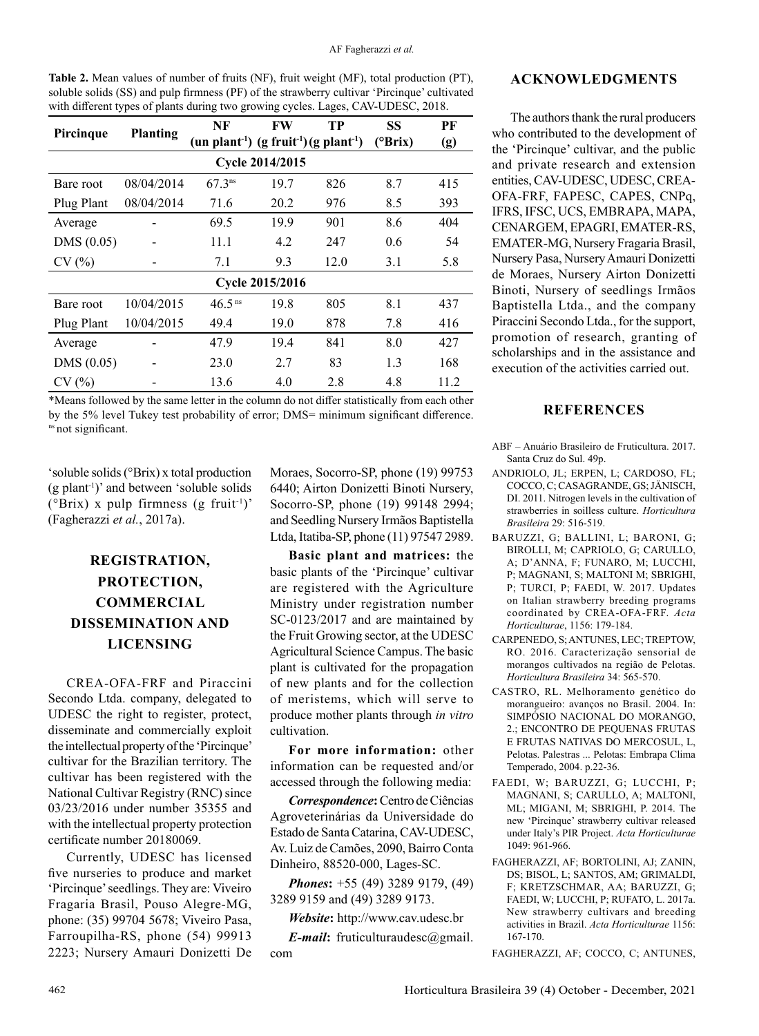| Table 2. Mean values of number of fruits (NF), fruit weight (MF), total production (PT),     |
|----------------------------------------------------------------------------------------------|
| soluble solids (SS) and pulp firmness (PF) of the strawberry cultivar 'Pircinque' cultivated |
| with different types of plants during two growing cycles. Lages, CAV-UDESC, 2018.            |

| Pircinque       | <b>Planting</b> | NF                                                                          | <b>FW</b> | TP   | <b>SS</b>        | PF   |  |  |  |  |
|-----------------|-----------------|-----------------------------------------------------------------------------|-----------|------|------------------|------|--|--|--|--|
|                 |                 | (un plant <sup>-1</sup> ) (g fruit <sup>-1</sup> ) (g plant <sup>-1</sup> ) |           |      | $(^{\circ}Brix)$ | (g)  |  |  |  |  |
| Cycle 2014/2015 |                 |                                                                             |           |      |                  |      |  |  |  |  |
| Bare root       | 08/04/2014      | $67.3^{ns}$                                                                 | 19.7      | 826  | 8.7              | 415  |  |  |  |  |
| Plug Plant      | 08/04/2014      | 71.6                                                                        | 20.2      | 976  | 8.5              | 393  |  |  |  |  |
| Average         |                 | 69.5                                                                        | 19.9      | 901  | 8.6              | 404  |  |  |  |  |
| DMS(0.05)       |                 | 11.1                                                                        | 4.2       | 247  | 0.6              | 54   |  |  |  |  |
| CV(%)           |                 | 7.1                                                                         | 9.3       | 12.0 | 3.1              | 5.8  |  |  |  |  |
| Cycle 2015/2016 |                 |                                                                             |           |      |                  |      |  |  |  |  |
| Bare root       | 10/04/2015      | 46.5 <sup>ns</sup>                                                          | 19.8      | 805  | 8.1              | 437  |  |  |  |  |
| Plug Plant      | 10/04/2015      | 49.4                                                                        | 19.0      | 878  | 7.8              | 416  |  |  |  |  |
| Average         |                 | 47.9                                                                        | 19.4      | 841  | 8.0              | 427  |  |  |  |  |
| DMS (0.05)      |                 | 23.0                                                                        | 2.7       | 83   | 1.3              | 168  |  |  |  |  |
| CV(%)           |                 | 13.6                                                                        | 4.0       | 2.8  | 4.8              | 11.2 |  |  |  |  |

\*Means followed by the same letter in the column do not differ statistically from each other by the 5% level Tukey test probability of error; DMS= minimum significant difference. <sup>ns</sup> not significant.

'soluble solids (°Brix) x total production  $(g$  plant<sup>-1</sup>)' and between 'soluble solids ( $^{\circ}$ Brix) x pulp firmness (g fruit<sup>-1</sup>)' (Fagherazzi *et al.*, 2017a).

## **REGISTRATION, PROTECTION, COMMERCIAL DISSEMINATION AND LICENSING**

CREA-OFA-FRF and Piraccini Secondo Ltda. company, delegated to UDESC the right to register, protect, disseminate and commercially exploit the intellectual property of the 'Pircinque' cultivar for the Brazilian territory. The cultivar has been registered with the National Cultivar Registry (RNC) since 03/23/2016 under number 35355 and with the intellectual property protection certificate number 20180069.

Currently, UDESC has licensed five nurseries to produce and market 'Pircinque' seedlings. They are: Viveiro Fragaria Brasil, Pouso Alegre-MG, phone: (35) 99704 5678; Viveiro Pasa, Farroupilha-RS, phone (54) 99913 2223; Nursery Amauri Donizetti De

Moraes, Socorro-SP, phone (19) 99753 6440; Airton Donizetti Binoti Nursery, Socorro-SP, phone (19) 99148 2994; and Seedling Nursery Irmãos Baptistella Ltda, Itatiba-SP, phone (11) 97547 2989.

**Basic plant and matrices:** the basic plants of the 'Pircinque' cultivar are registered with the Agriculture Ministry under registration number SC-0123/2017 and are maintained by the Fruit Growing sector, at the UDESC Agricultural Science Campus. The basic plant is cultivated for the propagation of new plants and for the collection of meristems, which will serve to produce mother plants through *in vitro* cultivation.

**For more information:** other information can be requested and/or accessed through the following media:

*Correspondence***:** Centro de Ciências Agroveterinárias da Universidade do Estado de Santa Catarina, CAV-UDESC, Av. Luiz de Camões, 2090, Bairro Conta Dinheiro, 88520-000, Lages-SC.

*Phones***:** +55 (49) 3289 9179, (49) 3289 9159 and (49) 3289 9173.

*Website***:** <http://www.cav.udesc.br>

*E-mail***:** [fruticulturaudesc@gmail.](mailto:fruticulturaudesc@gmail.com) [com](mailto:fruticulturaudesc@gmail.com)

#### **ACKNOWLEDGMENTS**

The authors thank the rural producers who contributed to the development of the 'Pircinque' cultivar, and the public and private research and extension entities, CAV-UDESC, UDESC, CREA-OFA-FRF, FAPESC, CAPES, CNPq, IFRS, IFSC, UCS, EMBRAPA, MAPA, CENARGEM, EPAGRI, EMATER-RS, EMATER-MG, Nursery Fragaria Brasil, Nursery Pasa, Nursery Amauri Donizetti de Moraes, Nursery Airton Donizetti Binoti, Nursery of seedlings Irmãos Baptistella Ltda., and the company Piraccini Secondo Ltda., for the support, promotion of research, granting of scholarships and in the assistance and execution of the activities carried out.

#### **REFERENCES**

- ABF Anuário Brasileiro de Fruticultura. 2017. Santa Cruz do Sul. 49p.
- ANDRIOLO, JL; ERPEN, L; CARDOSO, FL; COCCO, C; CASAGRANDE, GS; JÄNISCH, DI. 2011. Nitrogen levels in the cultivation of strawberries in soilless culture. *Horticultura Brasileira* 29: 516-519.
- BARUZZI, G; BALLINI, L; BARONI, G; BIROLLI, M; CAPRIOLO, G; CARULLO, A; D'ANNA, F; FUNARO, M; LUCCHI, P; MAGNANI, S; MALTONI M; SBRIGHI, P; TURCI, P; FAEDI, W. 2017. Updates on Italian strawberry breeding programs coordinated by CREA-OFA-FRF. *Acta Horticulturae*, 1156: 179-184.
- CARPENEDO, S; ANTUNES, LEC; TREPTOW, RO. 2016. Caracterização sensorial de morangos cultivados na região de Pelotas. *Horticultura Brasileira* 34: 565-570.
- CASTRO, RL. Melhoramento genético do morangueiro: avanços no Brasil. 2004. In: SIMPÓSIO NACIONAL DO MORANGO, 2.; ENCONTRO DE PEQUENAS FRUTAS E FRUTAS NATIVAS DO MERCOSUL, L, Pelotas. Palestras ... Pelotas: Embrapa Clima Temperado, 2004. p.22-36.
- FAEDI, W; BARUZZI, G; LUCCHI, P; MAGNANI, S; CARULLO, A; MALTONI, ML; MIGANI, M; SBRIGHI, P. 2014. The new 'Pircinque' strawberry cultivar released under Italy's PIR Project. *Acta Horticulturae* 1049: 961-966.
- [FAGHERAZZI, AF;](http://lattes.cnpq.br/8749486333776016) BORTOLINI, AJ; ZANIN, DS; BISOL, L; SANTOS, AM; GRIMALDI, F; KRETZSCHMAR, AA; BARUZZI, G; FAEDI, W; LUCCHI, P; [RUFATO, L.](http://lattes.cnpq.br/2926951390021904) 2017a. New strawberry cultivars and breeding activities in Brazil. *Acta Horticulturae* 1156: 167-170.

FAGHERAZZI, AF; COCCO, C; ANTUNES,